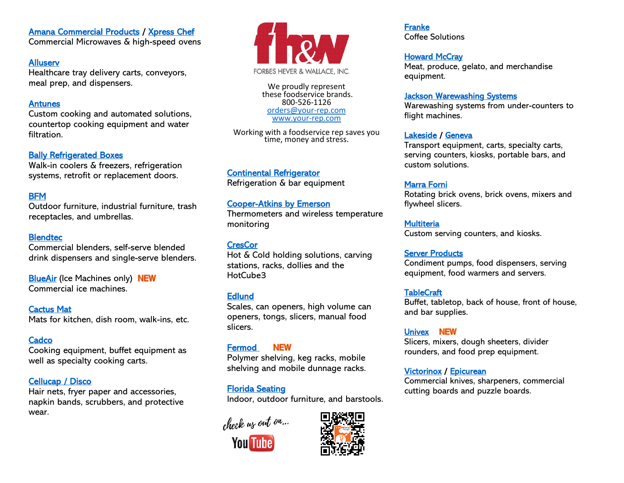[Amana Commercial Products](https://www.acpsolutions.com/) / [Xpress Chef](https://www.acpsolutions.com/xpresschef/) 

Commercial Microwaves & high-speed ovens

### **Alluserv**

Healthcare tray delivery carts, conveyors, meal prep, and dispensers.

## **Antunes**

Custom cooking and automated solutions, countertop cooking equipment and water filtration.

## **Bally Refrigerated Boxes**

Walk-in coolers & freezers, refrigeration systems, retrofit or replacement doors.

# **BFM**

Outdoor furniture, industrial furniture, trash receptacles, and umbrellas.

### **Blendtec**

Commercial blenders, self-serve blended drink dispensers and single-serve blenders.

**BlueAir** (Ice Machines only) NEW Commercial ice machines.

[Cactus Mat](http://www.your-rep.com/wp-content/uploads/2020/02/cactus-mat.png)  Mats for kitchen, dish room, walk-ins, etc.

## **Cadco**

Cooking equipment, buffet equipment as well as specialty cooking carts.

## [Cellucap / Disco](http://www.cellucap.com/)

Hair nets, fryer paper and accessories, napkin bands, scrubbers, and protective wear.



We proudly represent these foodservice brands. 800-526-1126 [orders@your-rep.com](mailto:orders@your-rep.com) [www.your-rep.com](http://www.your-rep.com/)

Working with a foodservice rep saves you time, money and stress.

[Continental Refrigerator](http://www.continentalrefrigerator.com/)  Refrigeration & bar equipment

## [Cooper-Atkins by Emerson](https://www.cooper-atkins.com/)

Thermometers and wireless temperature monitoring

**CresCor** Hot & Cold holding solutions, carving stations, racks, dollies and the HotCube3

## **Edlund**

Scales, can openers, high volume can openers, tongs, slicers, manual food slicers.

#### **NEW** [Fermod](https://www.fermod.com/shelving-north-america-cat45-lp.php)

Polymer shelving, keg racks, mobile shelving and mobile dunnage racks.

[Florida Seating](http://www.floridaseating.com/)  Indoor, outdoor furniture, and barstools.

check us out on...



[Franke](http://www.franke.com/us/en.html) 

Coffee Solutions

**Howard McCray** 

equipment.

[Lakeside](http://www.elakesidefoodservice.com/) / [Geneva](http://www.genevadesignsllc.com/) 

Transport equipment, carts, specialty carts, serving counters, kiosks, portable bars, and custom solutions.

Meat, produce, gelato, and merchandise

## [Marra Forni](http://www.marraforni.com/)

Rotating brick ovens, brick ovens, mixers and flywheel slicers.

**Multiteria** Custom serving counters, and kiosks.

## [Server Products](http://server-products.com/serverproducts.htm)

Condiment pumps, food dispensers, serving equipment, food warmers and servers.

## **TableCraft**

Buffet, tabletop, back of house, front of house, and bar supplies.

[Univex](https://www.univexcorp.com/) NEW Slicers, mixers, dough sheeters, divider rounders, and food prep equipment.

## [Victorinox](https://www.swissarmy.com/us/en/) / [Epicurean](http://www.epicureancs.com/)

Commercial knives, sharpeners, commercial cutting boards and puzzle boards.